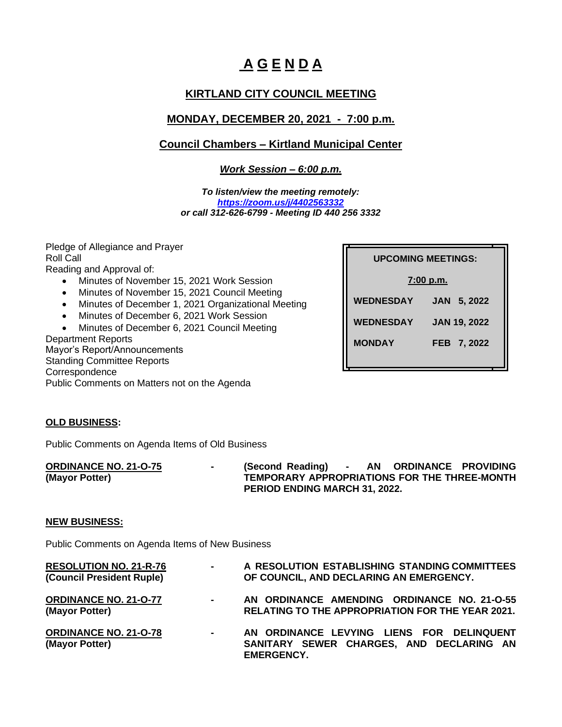# **A G E N D A**

## **KIRTLAND CITY COUNCIL MEETING**

## **MONDAY, DECEMBER 20, 2021 - 7:00 p.m.**

### **Council Chambers – Kirtland Municipal Center**

*Work Session – 6:00 p.m.*

*To listen/view the meeting remotely: <https://zoom.us/j/4402563332> or call 312-626-6799 - Meeting ID 440 256 3332*

Pledge of Allegiance and Prayer Roll Call Reading and Approval of: • Minutes of November 15, 2021 Work Session

- Minutes of November 15, 2021 Council Meeting
- Minutes of December 1, 2021 Organizational Meeting
- Minutes of December 6, 2021 Work Session

• Minutes of December 6, 2021 Council Meeting Department Reports Mayor's Report/Announcements Standing Committee Reports

**Correspondence** 

Public Comments on Matters not on the Agenda

| <b>UPCOMING MEETINGS:</b> |                       |  |  |  |  |  |  |  |
|---------------------------|-----------------------|--|--|--|--|--|--|--|
| <u>7:00 p.m.</u>          |                       |  |  |  |  |  |  |  |
| <b>WEDNESDAY</b>          | 5, 2022<br><b>JAN</b> |  |  |  |  |  |  |  |
| <b>WEDNESDAY</b>          | <b>JAN 19, 2022</b>   |  |  |  |  |  |  |  |
| <b>MONDAY</b>             | FEB 7, 2022           |  |  |  |  |  |  |  |

#### **OLD BUSINESS:**

Public Comments on Agenda Items of Old Business

**ORDINANCE NO. 21-O-75 - (Second Reading) - AN ORDINANCE PROVIDING (Mayor Potter) TEMPORARY APPROPRIATIONS FOR THE THREE-MONTH PERIOD ENDING MARCH 31, 2022.**

#### **NEW BUSINESS:**

Public Comments on Agenda Items of New Business

| <b>RESOLUTION NO. 21-R-76</b><br>(Council President Ruple) | $\sim 100$                 | A RESOLUTION ESTABLISHING STANDING COMMITTEES<br>OF COUNCIL, AND DECLARING AN EMERGENCY.                  |
|------------------------------------------------------------|----------------------------|-----------------------------------------------------------------------------------------------------------|
| <b>ORDINANCE NO. 21-0-77</b><br>(Mayor Potter)             | $\mathcal{L}_{\rm{max}}$ . | AN ORDINANCE AMENDING ORDINANCE NO. 21-O-55<br><b>RELATING TO THE APPROPRIATION FOR THE YEAR 2021.</b>    |
| <b>ORDINANCE NO. 21-O-78</b><br>(Mayor Potter)             | $\blacksquare$             | AN ORDINANCE LEVYING LIENS FOR DELINQUENT<br>SANITARY SEWER CHARGES, AND DECLARING AN<br><b>FMFRGFNCY</b> |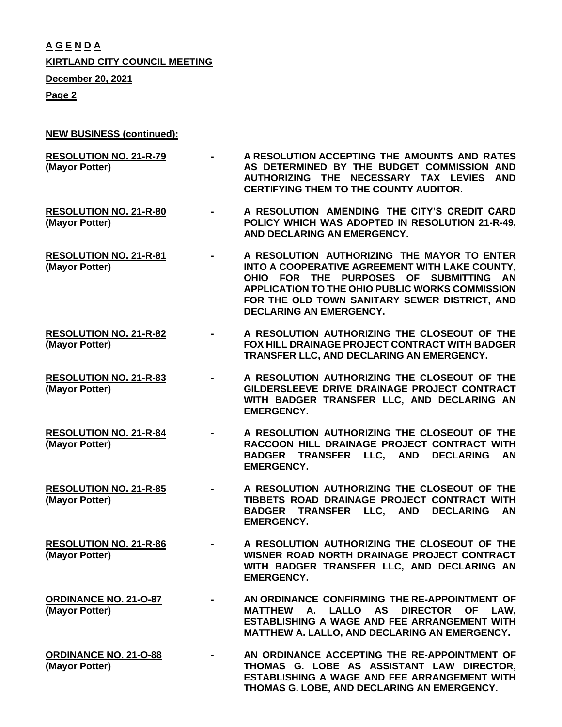**A G E N D A KIRTLAND CITY COUNCIL MEETING**

**December 20, 2021**

**Page 2**

- **NEW BUSINESS (continued):**
- **RESOLUTION NO. 21-R-79 - A RESOLUTION ACCEPTING THE AMOUNTS AND RATES (Mayor Potter) AS DETERMINED BY THE BUDGET COMMISSION AND AUTHORIZING THE NECESSARY TAX LEVIES AND CERTIFYING THEM TO THE COUNTY AUDITOR.**
- **RESOLUTION NO. 21-R-80 - A RESOLUTION AMENDING THE CITY'S CREDIT CARD (Mayor Potter) POLICY WHICH WAS ADOPTED IN RESOLUTION 21-R-49, AND DECLARING AN EMERGENCY.**
- **RESOLUTION NO. 21-R-81 - A RESOLUTION AUTHORIZING THE MAYOR TO ENTER (Mayor Potter) INTO A COOPERATIVE AGREEMENT WITH LAKE COUNTY, OHIO FOR THE PURPOSES OF SUBMITTING AN APPLICATION TO THE OHIO PUBLIC WORKS COMMISSION FOR THE OLD TOWN SANITARY SEWER DISTRICT, AND DECLARING AN EMERGENCY.**
- **RESOLUTION NO. 21-R-82 - A RESOLUTION AUTHORIZING THE CLOSEOUT OF THE (Mayor Potter) FOX HILL DRAINAGE PROJECT CONTRACT WITH BADGER TRANSFER LLC, AND DECLARING AN EMERGENCY.**
- **RESOLUTION NO. 21-R-83 - A RESOLUTION AUTHORIZING THE CLOSEOUT OF THE (Mayor Potter) GILDERSLEEVE DRIVE DRAINAGE PROJECT CONTRACT WITH BADGER TRANSFER LLC, AND DECLARING AN EMERGENCY.**
- **RESOLUTION NO. 21-R-84 - A RESOLUTION AUTHORIZING THE CLOSEOUT OF THE (Mayor Potter) RACCOON HILL DRAINAGE PROJECT CONTRACT WITH BADGER TRANSFER LLC, AND DECLARING AN EMERGENCY.**
- **RESOLUTION NO. 21-R-85 - A RESOLUTION AUTHORIZING THE CLOSEOUT OF THE (Mayor Potter) TIBBETS ROAD DRAINAGE PROJECT CONTRACT WITH BADGER TRANSFER LLC, AND DECLARING AN EMERGENCY.**
- **RESOLUTION NO. 21-R-86 - A RESOLUTION AUTHORIZING THE CLOSEOUT OF THE (Mayor Potter) WISNER ROAD NORTH DRAINAGE PROJECT CONTRACT WITH BADGER TRANSFER LLC, AND DECLARING AN EMERGENCY.**
- **ORDINANCE NO. 21-O-87 - AN ORDINANCE CONFIRMING THE RE-APPOINTMENT OF (Mayor Potter) MATTHEW A. LALLO AS DIRECTOR OF LAW, ESTABLISHING A WAGE AND FEE ARRANGEMENT WITH MATTHEW A. LALLO, AND DECLARING AN EMERGENCY.**
- **ORDINANCE NO. 21-O-88 - AN ORDINANCE ACCEPTING THE RE-APPOINTMENT OF (Mayor Potter) THOMAS G. LOBE AS ASSISTANT LAW DIRECTOR, ESTABLISHING A WAGE AND FEE ARRANGEMENT WITH THOMAS G. LOBE, AND DECLARING AN EMERGENCY.**